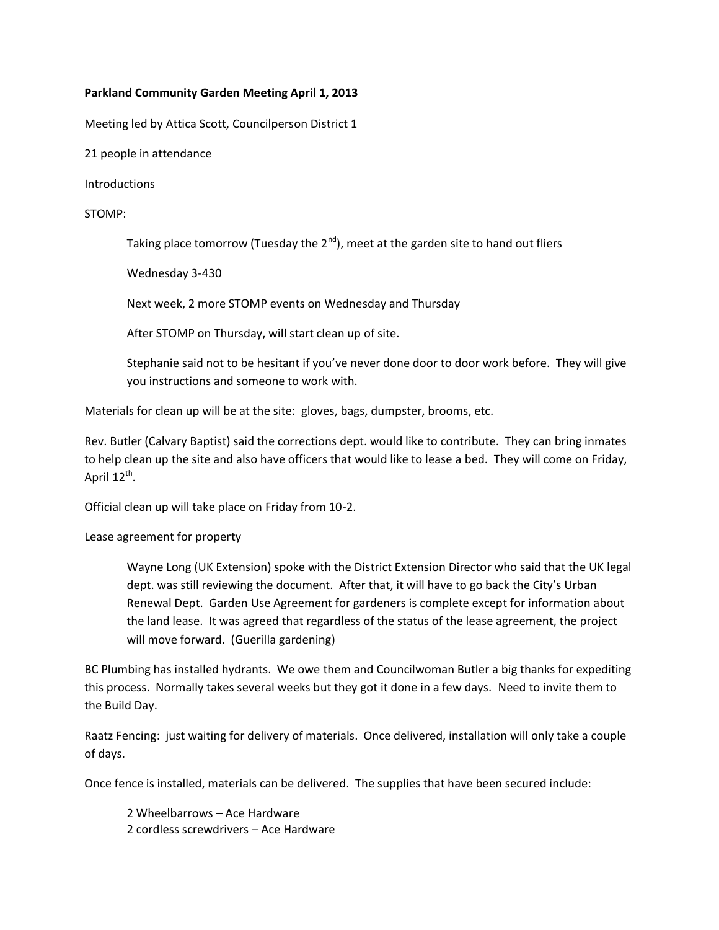## **Parkland Community Garden Meeting April 1, 2013**

Meeting led by Attica Scott, Councilperson District 1

21 people in attendance

Introductions

## STOMP:

Taking place tomorrow (Tuesday the  $2^{nd}$ ), meet at the garden site to hand out fliers

Wednesday 3-430

Next week, 2 more STOMP events on Wednesday and Thursday

After STOMP on Thursday, will start clean up of site.

Stephanie said not to be hesitant if you've never done door to door work before. They will give you instructions and someone to work with.

Materials for clean up will be at the site: gloves, bags, dumpster, brooms, etc.

Rev. Butler (Calvary Baptist) said the corrections dept. would like to contribute. They can bring inmates to help clean up the site and also have officers that would like to lease a bed. They will come on Friday, April 12<sup>th</sup>.

Official clean up will take place on Friday from 10-2.

Lease agreement for property

Wayne Long (UK Extension) spoke with the District Extension Director who said that the UK legal dept. was still reviewing the document. After that, it will have to go back the City's Urban Renewal Dept. Garden Use Agreement for gardeners is complete except for information about the land lease. It was agreed that regardless of the status of the lease agreement, the project will move forward. (Guerilla gardening)

BC Plumbing has installed hydrants. We owe them and Councilwoman Butler a big thanks for expediting this process. Normally takes several weeks but they got it done in a few days. Need to invite them to the Build Day.

Raatz Fencing: just waiting for delivery of materials. Once delivered, installation will only take a couple of days.

Once fence is installed, materials can be delivered. The supplies that have been secured include:

2 Wheelbarrows – Ace Hardware 2 cordless screwdrivers – Ace Hardware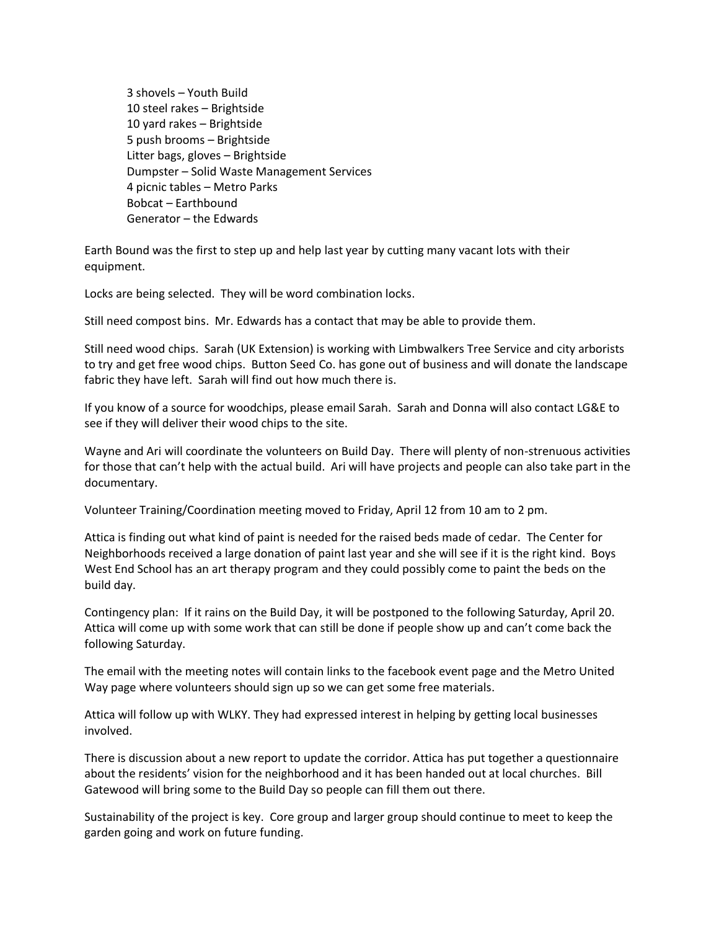3 shovels – Youth Build 10 steel rakes – Brightside 10 yard rakes – Brightside 5 push brooms – Brightside Litter bags, gloves – Brightside Dumpster – Solid Waste Management Services 4 picnic tables – Metro Parks Bobcat – Earthbound Generator – the Edwards

Earth Bound was the first to step up and help last year by cutting many vacant lots with their equipment.

Locks are being selected. They will be word combination locks.

Still need compost bins. Mr. Edwards has a contact that may be able to provide them.

Still need wood chips. Sarah (UK Extension) is working with Limbwalkers Tree Service and city arborists to try and get free wood chips. Button Seed Co. has gone out of business and will donate the landscape fabric they have left. Sarah will find out how much there is.

If you know of a source for woodchips, please email Sarah. Sarah and Donna will also contact LG&E to see if they will deliver their wood chips to the site.

Wayne and Ari will coordinate the volunteers on Build Day. There will plenty of non-strenuous activities for those that can't help with the actual build. Ari will have projects and people can also take part in the documentary.

Volunteer Training/Coordination meeting moved to Friday, April 12 from 10 am to 2 pm.

Attica is finding out what kind of paint is needed for the raised beds made of cedar. The Center for Neighborhoods received a large donation of paint last year and she will see if it is the right kind. Boys West End School has an art therapy program and they could possibly come to paint the beds on the build day.

Contingency plan: If it rains on the Build Day, it will be postponed to the following Saturday, April 20. Attica will come up with some work that can still be done if people show up and can't come back the following Saturday.

The email with the meeting notes will contain links to the facebook event page and the Metro United Way page where volunteers should sign up so we can get some free materials.

Attica will follow up with WLKY. They had expressed interest in helping by getting local businesses involved.

There is discussion about a new report to update the corridor. Attica has put together a questionnaire about the residents' vision for the neighborhood and it has been handed out at local churches. Bill Gatewood will bring some to the Build Day so people can fill them out there.

Sustainability of the project is key. Core group and larger group should continue to meet to keep the garden going and work on future funding.